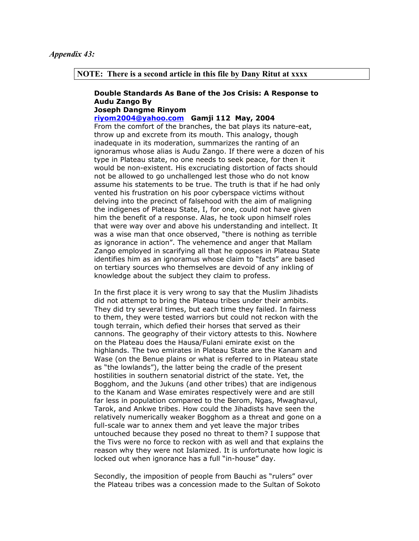### **NOTE: There is a second article in this file by Dany Ritut at xxxx**

#### **Double Standards As Bane of the Jos Crisis: A Response to Audu Zango By Joseph Dangme Rinyom**

# **[riyom2004@yahoo.com](mailto:riyom2004@yahoo.com) Gamji 112 May, 2004**

From the comfort of the branches, the bat plays its nature-eat, throw up and excrete from its mouth. This analogy, though inadequate in its moderation, summarizes the ranting of an ignoramus whose alias is Audu Zango. If there were a dozen of his type in Plateau state, no one needs to seek peace, for then it would be non-existent. His excruciating distortion of facts should not be allowed to go unchallenged lest those who do not know assume his statements to be true. The truth is that if he had only vented his frustration on his poor cyberspace victims without delving into the precinct of falsehood with the aim of maligning the indigenes of Plateau State, I, for one, could not have given him the benefit of a response. Alas, he took upon himself roles that were way over and above his understanding and intellect. It was a wise man that once observed, "there is nothing as terrible as ignorance in action". The vehemence and anger that Mallam Zango employed in scarifying all that he opposes in Plateau State identifies him as an ignoramus whose claim to "facts" are based on tertiary sources who themselves are devoid of any inkling of knowledge about the subject they claim to profess.

In the first place it is very wrong to say that the Muslim Jihadists did not attempt to bring the Plateau tribes under their ambits. They did try several times, but each time they failed. In fairness to them, they were tested warriors but could not reckon with the tough terrain, which defied their horses that served as their cannons. The geography of their victory attests to this. Nowhere on the Plateau does the Hausa/Fulani emirate exist on the highlands. The two emirates in Plateau State are the Kanam and Wase (on the Benue plains or what is referred to in Plateau state as "the lowlands"), the latter being the cradle of the present hostilities in southern senatorial district of the state. Yet, the Bogghom, and the Jukuns (and other tribes) that are indigenous to the Kanam and Wase emirates respectively were and are still far less in population compared to the Berom, Ngas, Mwaghavul, Tarok, and Ankwe tribes. How could the Jihadists have seen the relatively numerically weaker Bogghom as a threat and gone on a full-scale war to annex them and yet leave the major tribes untouched because they posed no threat to them? I suppose that the Tivs were no force to reckon with as well and that explains the reason why they were not Islamized. It is unfortunate how logic is locked out when ignorance has a full "in-house" day.

Secondly, the imposition of people from Bauchi as "rulers" over the Plateau tribes was a concession made to the Sultan of Sokoto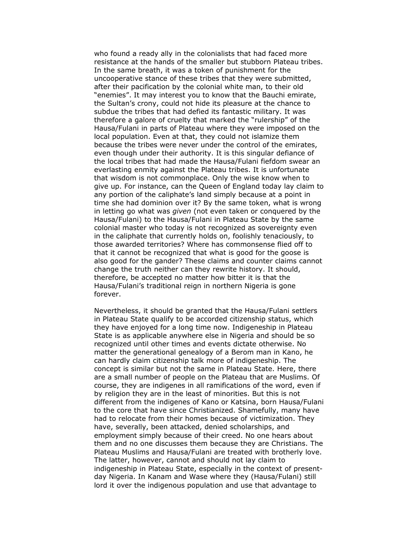who found a ready ally in the colonialists that had faced more resistance at the hands of the smaller but stubborn Plateau tribes. In the same breath, it was a token of punishment for the uncooperative stance of these tribes that they were submitted, after their pacification by the colonial white man, to their old "enemies". It may interest you to know that the Bauchi emirate, the Sultan's crony, could not hide its pleasure at the chance to subdue the tribes that had defied its fantastic military. It was therefore a galore of cruelty that marked the "rulership" of the Hausa/Fulani in parts of Plateau where they were imposed on the local population. Even at that, they could not islamize them because the tribes were never under the control of the emirates, even though under their authority. It is this singular defiance of the local tribes that had made the Hausa/Fulani fiefdom swear an everlasting enmity against the Plateau tribes. It is unfortunate that wisdom is not commonplace. Only the wise know when to give up. For instance, can the Queen of England today lay claim to any portion of the caliphate's land simply because at a point in time she had dominion over it? By the same token, what is wrong in letting go what was *given* (not even taken or conquered by the Hausa/Fulani) to the Hausa/Fulani in Plateau State by the same colonial master who today is not recognized as sovereignty even in the caliphate that currently holds on, foolishly tenaciously, to those awarded territories? Where has commonsense flied off to that it cannot be recognized that what is good for the goose is also good for the gander? These claims and counter claims cannot change the truth neither can they rewrite history. It should, therefore, be accepted no matter how bitter it is that the Hausa/Fulani's traditional reign in northern Nigeria is gone forever.

Nevertheless, it should be granted that the Hausa/Fulani settlers in Plateau State qualify to be accorded citizenship status, which they have enjoyed for a long time now. Indigeneship in Plateau State is as applicable anywhere else in Nigeria and should be so recognized until other times and events dictate otherwise. No matter the generational genealogy of a Berom man in Kano, he can hardly claim citizenship talk more of indigeneship. The concept is similar but not the same in Plateau State. Here, there are a small number of people on the Plateau that are Muslims. Of course, they are indigenes in all ramifications of the word, even if by religion they are in the least of minorities. But this is not different from the indigenes of Kano or Katsina, born Hausa/Fulani to the core that have since Christianized. Shamefully, many have had to relocate from their homes because of victimization. They have, severally, been attacked, denied scholarships, and employment simply because of their creed. No one hears about them and no one discusses them because they are Christians. The Plateau Muslims and Hausa/Fulani are treated with brotherly love. The latter, however, cannot and should not lay claim to indigeneship in Plateau State, especially in the context of presentday Nigeria. In Kanam and Wase where they (Hausa/Fulani) still lord it over the indigenous population and use that advantage to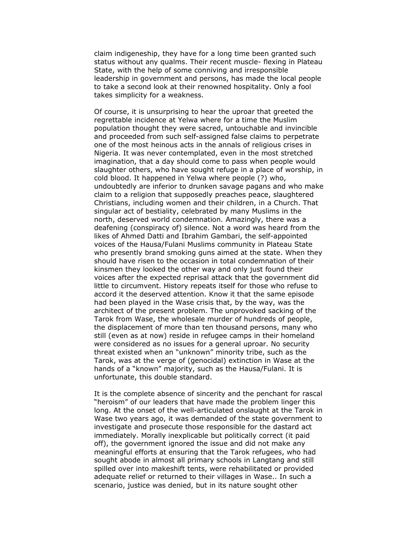claim indigeneship, they have for a long time been granted such status without any qualms. Their recent muscle- flexing in Plateau State, with the help of some conniving and irresponsible leadership in government and persons, has made the local people to take a second look at their renowned hospitality. Only a fool takes simplicity for a weakness.

Of course, it is unsurprising to hear the uproar that greeted the regrettable incidence at Yelwa where for a time the Muslim population thought they were sacred, untouchable and invincible and proceeded from such self-assigned false claims to perpetrate one of the most heinous acts in the annals of religious crises in Nigeria. It was never contemplated, even in the most stretched imagination, that a day should come to pass when people would slaughter others, who have sought refuge in a place of worship, in cold blood. It happened in Yelwa where people (?) who, undoubtedly are inferior to drunken savage pagans and who make claim to a religion that supposedly preaches peace, slaughtered Christians, including women and their children, in a Church. That singular act of bestiality, celebrated by many Muslims in the north, deserved world condemnation. Amazingly, there was a deafening (conspiracy of) silence. Not a word was heard from the likes of Ahmed Datti and Ibrahim Gambari, the self-appointed voices of the Hausa/Fulani Muslims community in Plateau State who presently brand smoking guns aimed at the state. When they should have risen to the occasion in total condemnation of their kinsmen they looked the other way and only just found their voices after the expected reprisal attack that the government did little to circumvent. History repeats itself for those who refuse to accord it the deserved attention. Know it that the same episode had been played in the Wase crisis that, by the way, was the architect of the present problem. The unprovoked sacking of the Tarok from Wase, the wholesale murder of hundreds of people, the displacement of more than ten thousand persons, many who still (even as at now) reside in refugee camps in their homeland were considered as no issues for a general uproar. No security threat existed when an "unknown" minority tribe, such as the Tarok, was at the verge of (genocidal) extinction in Wase at the hands of a "known" majority, such as the Hausa/Fulani. It is unfortunate, this double standard.

It is the complete absence of sincerity and the penchant for rascal "heroism" of our leaders that have made the problem linger this long. At the onset of the well-articulated onslaught at the Tarok in Wase two years ago, it was demanded of the state government to investigate and prosecute those responsible for the dastard act immediately. Morally inexplicable but politically correct (it paid off), the government ignored the issue and did not make any meaningful efforts at ensuring that the Tarok refugees, who had sought abode in almost all primary schools in Langtang and still spilled over into makeshift tents, were rehabilitated or provided adequate relief or returned to their villages in Wase.. In such a scenario, justice was denied, but in its nature sought other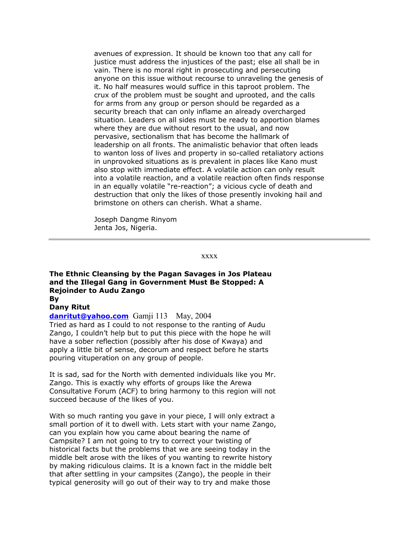avenues of expression. It should be known too that any call for justice must address the injustices of the past; else all shall be in vain. There is no moral right in prosecuting and persecuting anyone on this issue without recourse to unraveling the genesis of it. No half measures would suffice in this taproot problem. The crux of the problem must be sought and uprooted, and the calls for arms from any group or person should be regarded as a security breach that can only inflame an already overcharged situation. Leaders on all sides must be ready to apportion blames where they are due without resort to the usual, and now pervasive, sectionalism that has become the hallmark of leadership on all fronts. The animalistic behavior that often leads to wanton loss of lives and property in so-called retaliatory actions in unprovoked situations as is prevalent in places like Kano must also stop with immediate effect. A volatile action can only result into a volatile reaction, and a volatile reaction often finds response in an equally volatile "re-reaction"; a vicious cycle of death and destruction that only the likes of those presently invoking hail and brimstone on others can cherish. What a shame.

Joseph Dangme Rinyom Jenta Jos, Nigeria.

### xxxx

### **The Ethnic Cleansing by the Pagan Savages in Jos Plateau and the Illegal Gang in Government Must Be Stopped: A Rejoinder to Audu Zango By**

## **Dany Ritut**

**[danritut@yahoo.com](mailto:danritut@yahoo.com)** Gamji 113 May, 2004 Tried as hard as I could to not response to the ranting of Audu Zango, I couldn't help but to put this piece with the hope he will have a sober reflection (possibly after his dose of Kwaya) and apply a little bit of sense, decorum and respect before he starts pouring vituperation on any group of people.

It is sad, sad for the North with demented individuals like you Mr. Zango. This is exactly why efforts of groups like the Arewa Consultative Forum (ACF) to bring harmony to this region will not succeed because of the likes of you.

With so much ranting you gave in your piece, I will only extract a small portion of it to dwell with. Lets start with your name Zango, can you explain how you came about bearing the name of Campsite? I am not going to try to correct your twisting of historical facts but the problems that we are seeing today in the middle belt arose with the likes of you wanting to rewrite history by making ridiculous claims. It is a known fact in the middle belt that after settling in your campsites (Zango), the people in their typical generosity will go out of their way to try and make those